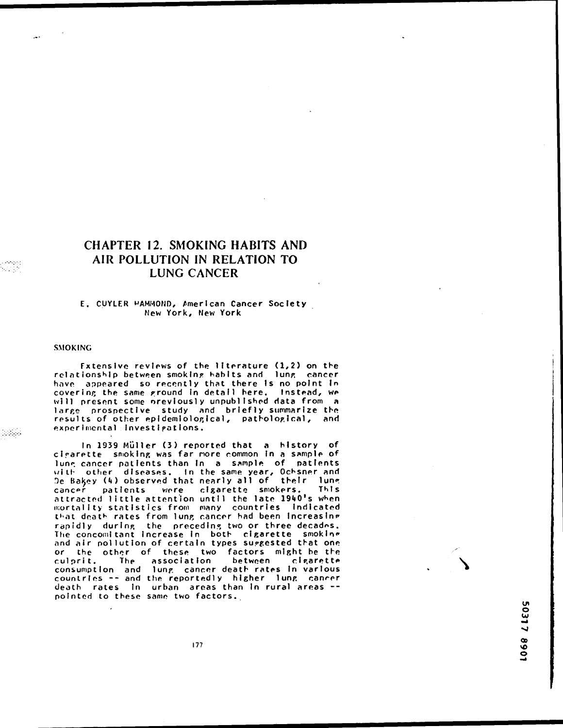# CHAPTER 12. SMOKING HABITS AND AIR POLLUTION IN RELATION TO LUNG CANCER

# E. CUYLER WAMMOND, American Cancer Society New York, New York

# SMOKING

建築基

Fxtensive reviews of the literature (1,2) on the relationship between smoking habits and lung cancer have appeared so recently that there Is no point In covering the same ground in detail here. Instead, we will present some nreviously unpublished data from a large prospective study and briefly summarize the results of other epidemiological, pathological, and experimental investigations.

In 1939 Muller (3) reported that a history of cirarette smoking was far more common in a sample of lung cancer patients than In a sample of patients with other diseases, in the same year, Ochsner and De Bakey (4) observed that nearly all of their lung cancer patients were cigarette smokers. This attracted little attention until the late 1940's when mortality statistics from many countries indicated that death rates from lung cancer had been increasing rapidly during the preceding two or three decades. The concomitant increase in both cigarette smoking and air pollution of certain types suogested that one or the other of these two factors might he the culprit, The association between cirarette consumption and lung cancer death rates in various countries -- and the reportedly higher lung cancer death rates In urban areas than In rural areas - pointed to these same two factors.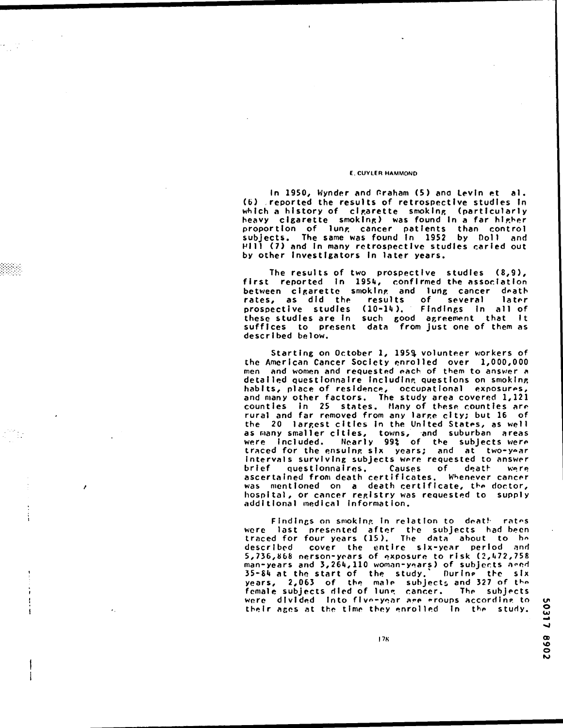# E . CUYLER HAMMOND

In 1950, Wynder and Rraham (5) ana Levin et al . (6) reported the results of retrospective studies in which a history of cigarette smoking (particularly heavy cigarette smoking) was found In a far hiRher proportion of lung cancer patients than control subjects . The same was found In 1952 by Doll and HI11 (7) and in many retrospective studies caried out by other Investlgators in later years .

The results of two prospective studies (8,9), first reported in 1954, confirmed the association between cigarette smoking and lung cancer death rates, as did the results of several<br>prospective studies (10-14). Findings in prospective studies (10-14) . Findings in all of these studies are in such good agreement that It suffices to present data from just one of them as described below.

Starting on October 1, 1959 volunteer workers of the American Cancer Society enrolled over 1,000,000 men and women and requested each of them to answer a detailed questionnaire includinr, questions on smokiny habits, place of residence, occupational exposures, and many other factors. The study area covered 1,121 counties in 25 states. Many of these counties are rural and far removed from any large city; but 16 of the 20 largest cities in the United States, as well as many smaller cities, towns, and suburban areas were Included . Nearly 99% of the subjects were traced for the ensuing six years; and at two-year intervals surviving subjects were requested to answer brief questionnaires, Causes of death were<br>ascertained\_from\_death\_certificates, Whenever\_cancer was mentioned on a death-certificate, the doctor, hospital, or cancer registry was requested to supply additional medical information .

Findings on smoking in relation to death rates were last presented after tFe subjects had been traced for four years (15). The data about to be described cover the entire six-year period and 5,736,868 nerson-years of exposure to risk (2,472,758 man-years and 3,264,110 woman-years) of subjects ared 35-84 at the start of the study. Durine the six years, 2,063 of the male subjects and 327 of the female subjects died of lung cancer. The subjects were divided into five-year are eroups according to their ages at the time they enrolled in the study.

50317 8902

t

t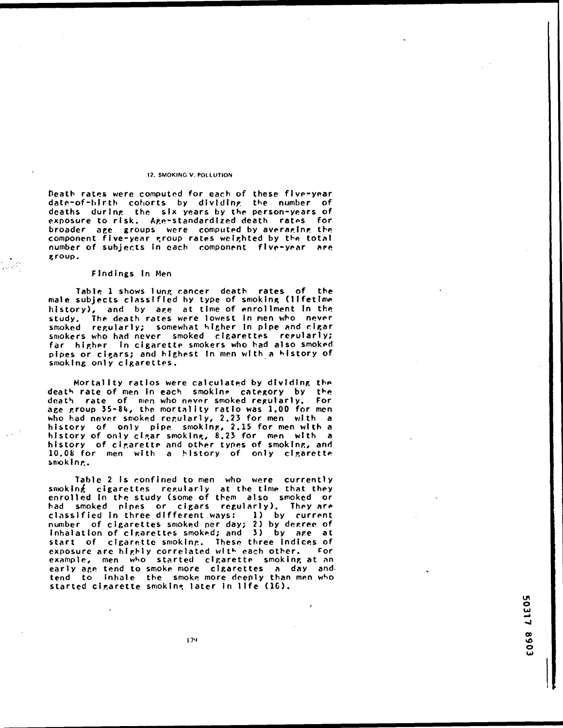Death rates were computed for each of these five-year date-of-birth cohorts by dividing the number of deaths during the six years by the person-years of exposure to risk. Age-standardized death rates for broader age groups were computed by averaging the component five-year group rates weighted by the total number of subjects in each component five-year Are group .

# Findings In Men

 $\sim 10^6$ 

Table 1 shows lung cancer death rates of the male subjects classified by type of smoking (lifetime history), and by age at time of enrollment In the study. The death rates were lowest in men who never smoked regularly; somewhat higher in pipe and cigar smokers who had never smoked cigarettes regularly; far higher In cigarette smokers who had also smoked pipes or cigars; and highest In men with a history of smoking only cigarettes .

Mortality ratios were calculated by dividing the death rate of men in each smoking category by the death rate of men who never smoked regularly. For age group 35-84, the mortality ratio was 1.00 for men who had never smoked regularly, 2.23 for men with a history of only pipe smoking, 2.15 for men with a history of only cigar smoking, 8.23 for men with a history of cigarette and other types of smoking, and <sup>10</sup> .08 for men with a history of only cigarette smokinr .

Table 2 is confined to men who were currently smokin $\boldsymbol{\xi}$  cigarettes regularly at the time that they enrolled In the study (some of them also smoked or had smoked pipes or cigars regularly). They are classified in three different ways: 1) by current number of cigarettes smoked per day; 2) by degree of Inhalation of cigarettes smoked; and 3) by are at start of cigarette smoking. These three indices of exposure are highly correlated with each other. For exposure are highly correlated with each other. example, men who started cigarette smoking at an early age tend to smoke more cigarettes a day and• tend to inhale the smoke more deeply than men who started cigarette smokinq later in life (16) .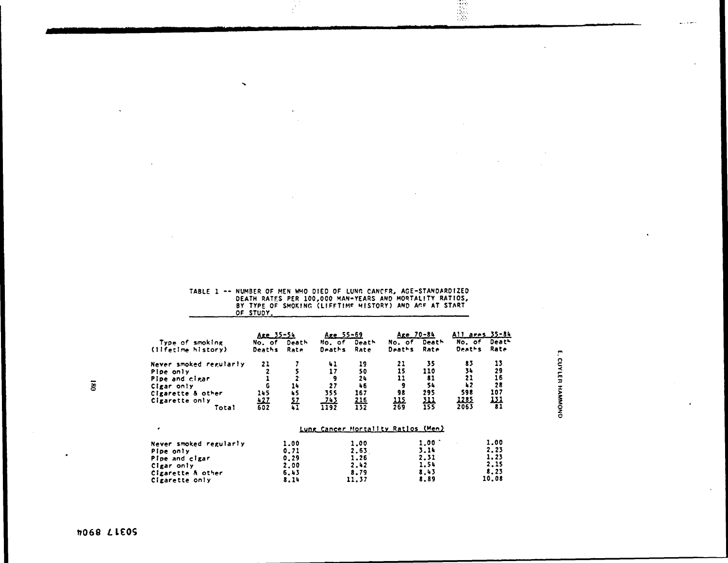| TABLE 1 -- NUMBER OF MEN WHO DIED OF LUNG CANCER, AGE-STANDARDIZED |
|--------------------------------------------------------------------|
| DEATH RATES PER 100,000 MAN-YEARS AND MORTALITY RATIOS,            |
| BY TYPE OF SMOKING (LIFFTIME HISTORY) AND AGE AT START             |
| OF STUDY.                                                          |

|                                                                                                                     | Are 35-54                    |                                              | Age 55-69                                        |                                                  | Age 70-84                                      |                                                   | All ares 35-84                              |                                               |                       |
|---------------------------------------------------------------------------------------------------------------------|------------------------------|----------------------------------------------|--------------------------------------------------|--------------------------------------------------|------------------------------------------------|---------------------------------------------------|---------------------------------------------|-----------------------------------------------|-----------------------|
| Type of smoking<br>(lifetime history)                                                                               | No. of<br>Deaths             | Death<br>Rate                                | No. of<br>Deaths                                 | Death<br>Rate                                    | No. of<br>Deaths                               | Death<br>Rate                                     | No. of<br>Deaths.                           | Death<br>Rate                                 | F                     |
| Never smoked regularly<br>Pipe only<br>Pipe and cigar<br>Cigar only<br>Cigarette & other<br>Cigarette only<br>Total | 21<br>G<br>145<br>127<br>602 | 14<br>45<br>꾟                                | 41<br>17<br>9<br>27<br>355<br>$\frac{743}{1192}$ | 19<br>50<br>24<br>46<br>167<br>$\frac{216}{132}$ | 21<br>15<br>11<br>9<br>98<br>$\frac{115}{269}$ | 35<br>110<br>81<br>54<br>295<br><u>III</u><br>155 | 83<br>34<br>21<br>42<br>598<br>1285<br>2063 | 13<br>29<br>16<br>28<br>107<br>꾟              | <b>CUYLER HAMMOND</b> |
| ٠                                                                                                                   |                              |                                              | Lung Cancer Mortality Ratios (Men)               |                                                  |                                                |                                                   |                                             |                                               |                       |
| Never smoked regularly<br>Pipe only<br>Pipe and cigar<br>Cigar only<br>Clgarette & other<br>Cigarette only          |                              | 1.00<br>0.71<br>0.29<br>2.00<br>6.43<br>8.14 |                                                  | 1,00<br>2.63<br>1.26<br>2.42<br>8.79<br>11.37    |                                                | 1.00.<br>3.14<br>2.31<br>1.54<br>8.43<br>8.89     |                                             | 1.00<br>2.23<br>1.23<br>2.15<br>8.23<br>10.08 |                       |

z 0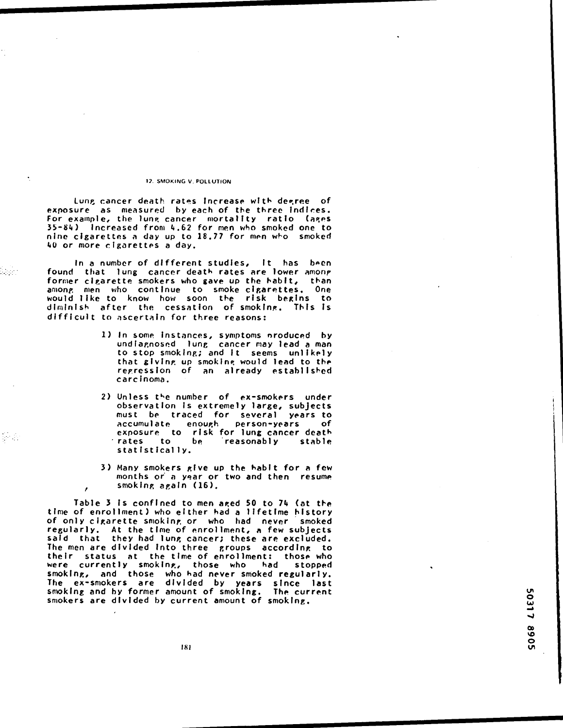Lung cancer death rates Increase with degree of exposure as measured by each of the three indices. For example, the lung cancer mortality ratio (ages 35-84) increased from 4 .62 for men who smoked one to nine cigarettes a day up to 18.77 for men who smoked 40 or more cigarettes a day.

In a number of different studies, it has been found that lung cancer death rates are lower amonp former cigarette smokers who gave up the habit, than among men who continue to smoke-cigarettes. One would like to know how soon the risk begins to diminish after the cessation of smoking. This is difficult to ascertain for three reasons :

 $\frac{1}{2} \frac{1}{2} \frac{1}{2}$ 

 $\lambda$ 

- 1) In some instances, symptoms produced by undiagnosed lung cancer may lead a man to stop smoking; and it seems unlikely that giving up smoking would lead to the repression of an already established carcinoma .
- 2) Unless the number of ex-smokers under observation Is extremely large, subjects must be traced for several years to accumulate enough person-years exposure to risk for lung cancer death<br>rates to be reasonably stable rates to be statistically.
- 3) Many smokers give up the habit for a few months or a year or two and then resume smoking again (16) .

Table 3 is confined to men aged 50 to 74 (at the time of enrollment) who either had a lifetime history of only cigarette smoking or who had never smoked regularly . At the time of enrollment, A few subjects said that they had lung cancer; these are excluded.<br>\* The men are divided into three groups according to their status at the time of enrollment: those who were currently smoking, those who had stopped smoking, and those who had never-smoked-regularly.<br>-The ex-smokers are divided by years since last smoking and by former amount of smoking . The current smokers are divided by current amount of smoking.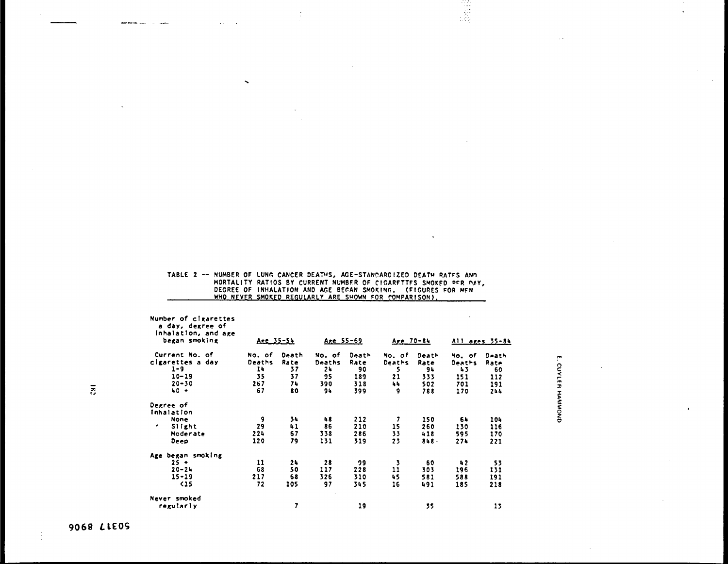|  | TABLE 2 -- NUMBER OF LUNG CANCER DEATHS, AGE-STANDARDIZED DEATH RATES AND |
|--|---------------------------------------------------------------------------|
|  | MORTALITY RATIOS BY CURRENT NUMBER OF CIGARFTTES SMOKED PER DAY,          |
|  | DEGREE OF INHALATION AND AGE BEGAN SMOKING. (FIGURES FOR MEN              |
|  | WHO NEVER SMOKED REGULARLY ARE SHOWN FOR COMPARISON).                     |

 $\frac{1}{2}$ 

 $\ddot{\phantom{0}}$ 

en 1999<br>Sterftes

 $\mathcal{L}$ 

E. CUYLER HAMMOND

| Number of clgarettes<br>a day, degree of<br>inhalation, and age<br>began smoking | Are 35-54 |       | Are 55-69 |       | Age 70-84               |       |        | All ages 35-84 |
|----------------------------------------------------------------------------------|-----------|-------|-----------|-------|-------------------------|-------|--------|----------------|
| Current No. of                                                                   | No. of    | Death | No. of    | Death | No. of                  | Death | No. of | Death          |
| cigarettes a day                                                                 | Deaths    | Rate  | Deaths    | Rate  | Deaths                  | Rate  | Deaths | Rate           |
| $1 - 9$                                                                          | 14        | 37    | 24        | 90    | 5                       | 94    | 43     | 60             |
| $10 - 19$                                                                        | 35        | 37    | 95        | 189   | 21                      | 333   | 151    | 112            |
| $20 - 30$                                                                        | 267       | 74    | 390       | 318   | 44                      | 502   | 701    | 191            |
| $40 +$                                                                           | 67        | 80    | 94        | 399   | 9                       | 788   | 170    | 244            |
| Degree of                                                                        |           |       |           |       |                         |       |        |                |
| inhalation                                                                       |           |       |           |       |                         |       |        |                |
| None                                                                             | 9         | 34    | 48        | 212   | $\overline{\mathbf{z}}$ | 150   | 64     | 104            |
| Slight<br>٠                                                                      | 29        | 41    | 86        | 210   | 15                      | 260   | 130    | 116            |
| Moderate                                                                         | 224       | 67    | 338       | 286   | 33                      | 418   | 595    | 170            |
| Deep                                                                             | 120       | 79    | 131       | 319   | 23                      | 848.  | 274    | 221            |
| Age began smoking                                                                |           |       |           |       |                         |       |        |                |
| $25 +$                                                                           | 11        | 24    | 28        | 99    | 3                       | 60    | 42     | 53             |
| $20 - 24$                                                                        | 68        | 50    | 117       | 228   | 11                      | 303   | 196    | 131            |
| $15 - 19$                                                                        | 217       | 68    | 326       | 310   | 45                      | 581   | 588    | 191            |
| $15$                                                                             | 72        | 105   | 97        | 345   | 16                      | 491   | 185    | 218            |
| Never smoked                                                                     |           |       |           |       |                         |       |        |                |
| regularly                                                                        |           | 7     |           | 19    |                         | 35    |        | 13             |

 $\overline{\mathbf{5}}$ 

9069 Ll£0S

÷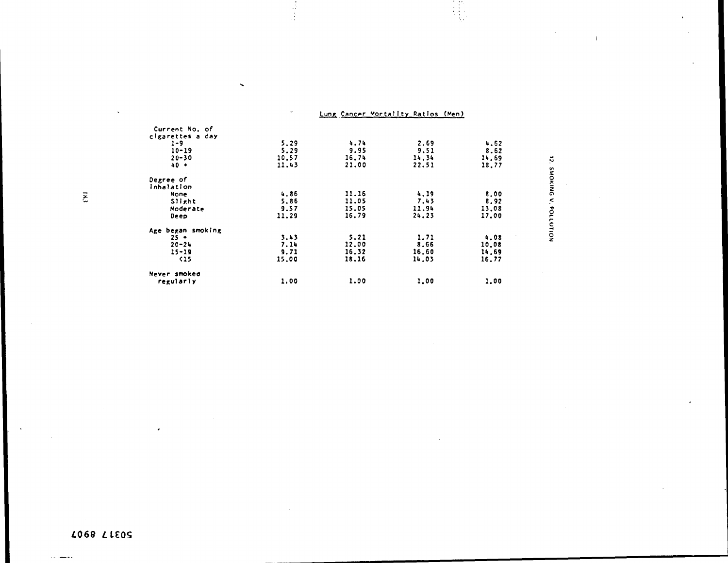|                                    | $\bullet$ | Lung Cancer Mortality Ratios (Men) |       |       |                  |
|------------------------------------|-----------|------------------------------------|-------|-------|------------------|
| Current No. of<br>cigarettes a day |           |                                    |       |       |                  |
| $1 - 9$                            | 5.29      | 4.74                               | 2.69  | 4.62  |                  |
| $10 - 19$                          | 5.29      | 9.95                               | 9.51  | 8.62  |                  |
| $20 - 30$                          | 10.57     | 16.74                              | 14.34 | 14.69 | $\ddot{\circ}$   |
| $40 +$                             | 11.43     | 21,00                              | 22.51 | 18.77 |                  |
| Degree of<br>inhalation            |           |                                    |       |       | SMOKING V.       |
|                                    |           | 11.16                              |       |       |                  |
| None                               | 4.86      |                                    | 4.19  | 8.00  |                  |
| Slight                             | 5.86      | 11.05                              | 7.43  | 8.92  |                  |
| Moderate                           | 9.57      | 15.05                              | 11.94 | 13.08 |                  |
| Deep                               | 11.29     | 16.79                              | 24.23 | 17.00 |                  |
| Age began smoking                  |           |                                    |       |       | <b>POLLUTION</b> |
| $25 +$                             | 3.43      | 5.21                               | 1.71  | 4.08  |                  |
| $20 - 24$                          | 7.14      | 12.00                              | 8.66  | 10.08 |                  |
| $15 - 19$                          | 9.71      | 16.32                              | 16.60 | 14.69 |                  |
| $\langle$ 15                       | 15.00     | 18.16                              | 14.03 | 16.77 |                  |
| Never smoked                       |           |                                    |       |       |                  |
| regularly                          | 1.00      | 1.00                               | 1.00  | 1.00  |                  |

 $\mathcal{L}$ 

 $\overline{\mathbf{x}}$ 

# L069 LL£OS

 $\ddotsc$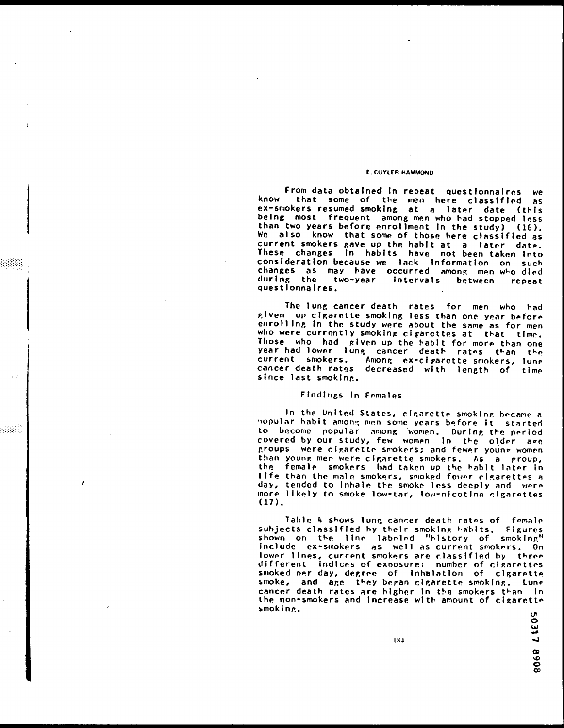# E . CUYLER HAMMOND

From data obtained in repeat questionnaires we know that some of the men here classified as ex-smokers resumed smoking at a later date (this being most frequent among men who had stopped less than two years before enrollment in the study) (16) . We also know that some of those here classified as current smokers gave up the habit at a later date. These changes In habits have not been taken Into consideration because we lack Information on such changes as may have occurred among men-who-died<br>during the two-year intervals between repeat during the two-year questionnaires .

The lung cancer death rates for men who had given up cigarette smoking less than one year before enrolling in the study were about the same as for men who were currently smoking cigarettes at that time. Those who had given up the habit for more than one year had lower lung cancer death rates than the current smokers. Among ex-ciparette smokers, lunr cancer death rates decreased with length of time since last smoking.

# Findings (n Females

i

in the United States, cigarette smoking became a nopular habit among men some years before it started to become popular among women. During the period covered by our study, few women in the older age groups were cigarette smokers; and fewer youne women than young men were cigarette smokers. As a group, the female smokers had taken up the habit later in life than the male smokers, smoked fewer cigarettes a day, tended to Inhalp the smoke less deeply and wore, more likely to smoke low-tar, low-nicotine cigarettes  $(17)$ .

Table 4 shows lung cancer death rates of female subjects classified by their smoking babits, Figures<br>shows .so the line labeled this text of smalle th shown on the line labeled "history of smoking" include ex-smokers as well as current smokers . On lower lines, current smokers are classified by three different indices of exoosure: number of cigarettes smoked per day, degree of inhalation of cigarette smoke, and age they began cigarette smoking. Lung cancer death rates are higher in the smokers than in the non-smokers and lncrease with amount of cigarette smokinr .

O 00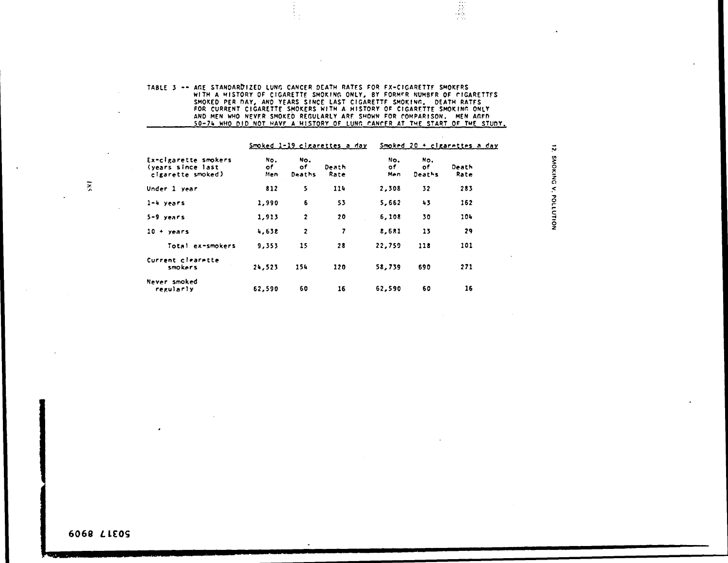TABLE 3 -- ArE STANDARCIZED LUNr, CANCER DEATH RATFS FOR FX-CIGARETTF SMOKFRS WITH A HISTORY OF CIGARETTE SMOKING ONLY, BY FORMER NUMBER OF CIGARETTES<br>SMOKED PER DAY, AND YEARS SINCE LAST CIGARETTE SMOKING. DEATH RATES<br>FOR CURRENT CIGARETTE SMOKERS WITH A HISTORY OF CIGARETTE SMOKING ONLY<br>AND MEN WH

|                                                                |                  |                     | Smoked 1-19 cigarettes a day |                   | Smoked 20 + cigarettes a day |               |  |  |
|----------------------------------------------------------------|------------------|---------------------|------------------------------|-------------------|------------------------------|---------------|--|--|
| Ex-cigarette smokers<br>(years since last<br>cigarette smoked) | No.<br>٥f<br>Men | No.<br>٥f<br>Deaths | Death<br>Rate                | No.<br>٥f<br>Men. | No.<br>٥f<br>Deaths          | Death<br>Rate |  |  |
| Under 1 year                                                   | 812              | 5                   | 114                          | 2,308             | 32                           | 283           |  |  |
| l-4 years                                                      | 1,990            | 6                   | 53                           | 5,662             | 43                           | 162           |  |  |
| 5-9 years                                                      | 1,913            | $\overline{2}$      | 20                           | 6,108             | 30                           | 104           |  |  |
| $10 + \text{years}$                                            | 4,638            | $\overline{2}$      | $\overline{\phantom{a}}$     | 8,681             | 13                           | 29            |  |  |
| Total ex-smokers                                               | 9,353            | 15                  | 28                           | 22,759            | 118                          | 101           |  |  |
| Current cirarette<br>smokers                                   | 24,523           | 154                 | 120                          | 58,739            | 690                          | 271           |  |  |
| Never smoked<br>regularly                                      | 62,590           | 60                  | 16                           | 62,590            | 60                           | 16            |  |  |

 $\vec{v}$ SMOKING V. POLLUTION

 $\overline{\mathbf{x}}$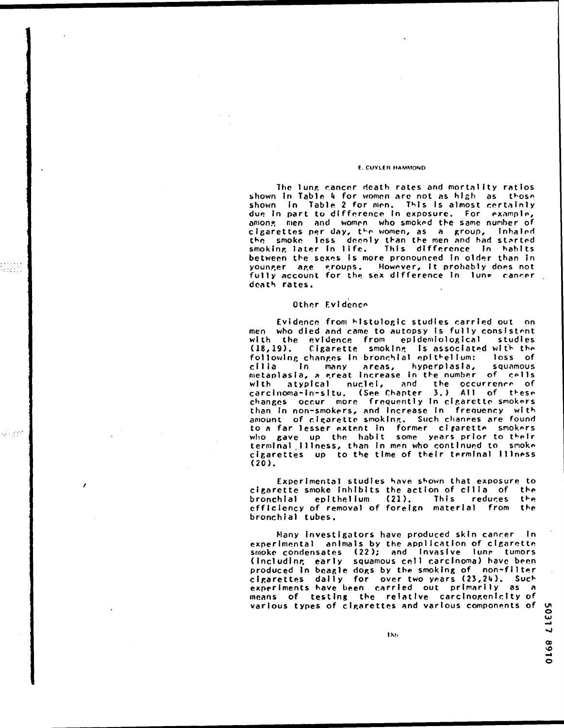# E . CUVLER HAMMOND

The lung rancer death rates and mortality ratios shown In Table 4 for women are not as high as those shown in Table 2 for men. This is almost certainly due in part to difference in exposure. For example, among men and women who smokrd the same number of cigarettes per day, t-e women, as a group, inhalod the smoke less deenly than the men and had started smoking later in life. This difference in habits between the sexes is more pronounced in older than in younger are oroups . However, it probably does not fully account for the sex difference In lunv canrer death rates .

# Other Evidence

t

kale

a la provi

Evidence from histologic studies carried out on men who died and came to autopsy Is fully conslstont with the evidence from epidemiological studies (18,19). Cigarette smoking is associated with the following changes in bronchial epithelium: loss of<br>cilia : in many areas, hyperplasia, squamous In many areas, hyperplasia, metaplasia, a great increase in the number of cells with atypical nuclei, and the occurrenrn of carcinoma-in-sltu . (See Chapter 3 .) All of ti-ese changes occur more frequently In cigarette smokers than in non-smokers, and Increase In frequency with amount of cigarette smoking. Such chanres are found to a far lesser extent In former cifaretto smokprs who gave up the habit some years prior to theli terminal .illness, than In men who continued to smoko cigarettes up to the time of their terminal illness (20) .

Experimental studies have shown that exposure to cigarette smoke inhibits the action of cilia of the<br>bronchial - epithelium (21). This - reduces the bronchial epithelium (21). This reduces the efficiency of removal of foreign material from the bronchial tubes .

Many investigators have produced skin cancer In experimental animals by the application of cigarette smoke condensates (22); and Invasive lunr tumors (includinr, early squamous cell carcinoma) have been produced in beagle dogs by the smoking of non-filter cigarettes dally for over two years (23,24). Such experiments have been carried out primarily as a means of testing the relative carclnoyeniclty of various types of cigarettes and various components of

I .c,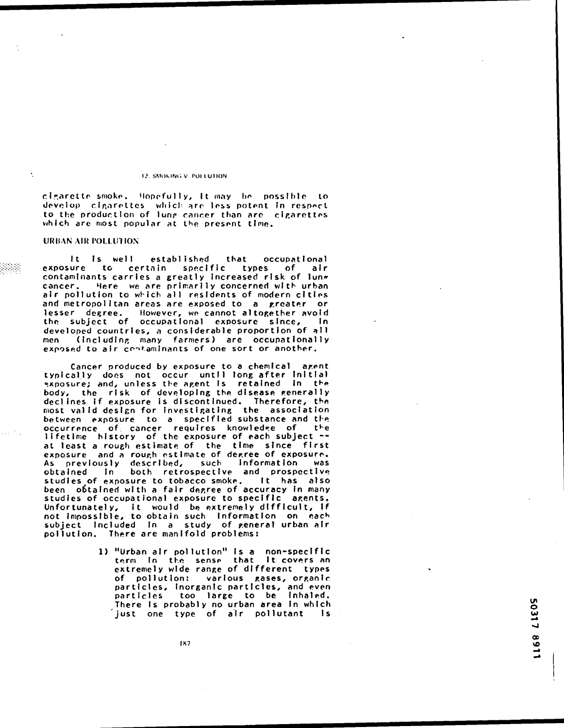cigarette smoke, Hopefully, it may be possible to develop cigarettes which are less potent in respect to the production of lunr cancer than are cigarettes which are most popular at the present time.

# URBAN AIR POLLUTION

It is well established that occupational exposure to certain specific types of air contaminants carries a greatly increased risk of lune cancer . Here we are primarily concerned with urban air pollution to which all residents of modern cities and metropolitan areas are exposed to a greater or lesser degree. However, we cannot altogether avoid<br>the subject of occupational exposure since, in the subject of occupational exposure since, developed countries, a considerable proportion of all men (including many farmers) are occupationally exposed to air contaminants of one sort or another.

Cancer produced by exposure to a chemical agent typically does not occur until long after initial exposure; and, unless the agent is retained in the body, the risk of developing the disease penerally declines if exposure is discontinued. Therefore, the most valid design for investigating the association between exposure to a specified substance and the occurrence of cancer requires knowledge of the<br>, is the tistage of the suscess of sach subject as lifetime history of the exposure of each subject - at least a rough estimate of the time since first exposure and a rough estimate of degree of exposure.<br>As previously described, such information was As previously described, such information<br>obtained in both retrospective and prospe both retrospective and prospective studies of exposure to tobacco smoke. It has also been o6tained with a fair degree of accuracy in many studies of occupational exposure to specific agents . Unfortunately, it would be extremely difficult, if not impossible, to obtain such Information on each subject included in a study of general urban air pollution. There are manifold problems:

> 1) "Urban air pollution" is a non-specific term In the sense that lt covers an extremely wide range of different types<br>of pollution: various gases, organic of pollution: various gases, organic particles, inorganic particles, and even<br>particles too large to be inhaled. There Is probably no urban area in which just one type of air pollutant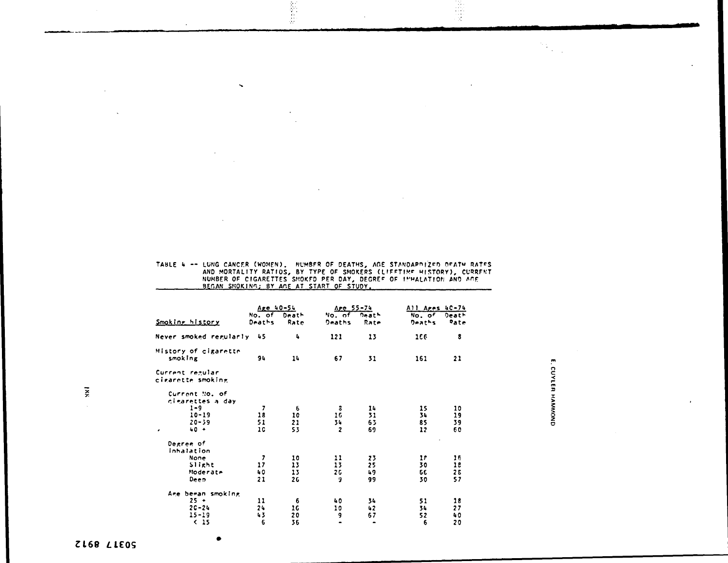| TABLE 4 -- LUNG CANCER (WOMEN), NUMBER OF DEATHS, AGE STANDAPPIZED DEATH RATES. |
|---------------------------------------------------------------------------------|
| AND MORTALITY RATIOS, BY TYPE OF SMOKERS (LIFFTIME HISTORY), CURRENT            |
| NUMBER OF CIGARETTES SMOKED PER DAY, DEGREF OF INHALATION AND AGE               |
| BEGAN SMOKING; BY AGE AT START OF STUDY,                                        |
|                                                                                 |

经营资

 $\ddot{\phantom{0}}$ 

 $\mathcal{A}$ 

|                                         | Age 40-54            |                 | Apc 55-74                               |                                         | All Ages 40-74    |               |
|-----------------------------------------|----------------------|-----------------|-----------------------------------------|-----------------------------------------|-------------------|---------------|
| Smoking history                         | $No.$ $of$<br>Deaths | Death<br>Rate   | No. of<br>Deaths                        | Death.<br>Rate                          | No. of<br>Deaths. | Death<br>Pate |
| Never smoked regularly                  | -45                  | 4               | 121                                     | 13                                      | 166               | 8             |
| History of cigarette<br>smoking         | 94                   | 14              | 67                                      | 31                                      | 161               | 21            |
| Current regular<br>ciearette smoking    |                      |                 |                                         |                                         |                   |               |
| ¥<br>Current No. of<br>cigarettes a day |                      |                 |                                         |                                         |                   |               |
| $\sim$<br>$1 - 9$                       |                      | 6               | 3                                       | 14                                      | 15                | 10            |
| $10 - 19$                               | 18                   | 10              | 16                                      | 31                                      | 34                | 19            |
| $20 - 39$                               | 51                   | $\overline{21}$ | 34                                      | 63                                      | 85                | 39            |
| $40 +$<br>$\epsilon$                    | 1 <sub>c</sub>       | 53              | $\overline{2}$                          | 69                                      | 12                | 60            |
| Degree of                               |                      |                 |                                         |                                         |                   |               |
| inhalation                              |                      |                 |                                         |                                         |                   |               |
| None                                    | 7                    | 10              | $\begin{array}{c} 11 \\ 13 \end{array}$ | $\begin{array}{c} 23 \\ 25 \end{array}$ | 1 <sub>F</sub>    | 16            |
| Slight                                  | 17                   | 13              |                                         |                                         | 30                | 18            |
| Moderate                                | 40                   | 13              | 20                                      | 49                                      | 6€                | 2s            |
| Deen                                    | 21                   | 26              | 9                                       | 99                                      | 30                | 57            |
| Are beran smoking                       |                      |                 |                                         |                                         |                   |               |
| $25 +$                                  | 11                   | 6               | 40                                      | 34                                      | 51                | 18            |
| $20 - 24$                               | 24                   | 16              | 10                                      | 42                                      | 34                | 27            |
| $15 - 19$                               | 43                   | 20              | 9                                       | 67                                      | 52                | 40            |
| < 15                                    | 6                    | 36              | $\blacksquare$                          |                                         | 6                 | 20            |

UYLER HAMA

 $\mathcal{H}_{\frac{1}{2}}$  .  $\frac{1}{2}$  ,  $\frac{1}{2}$ 

x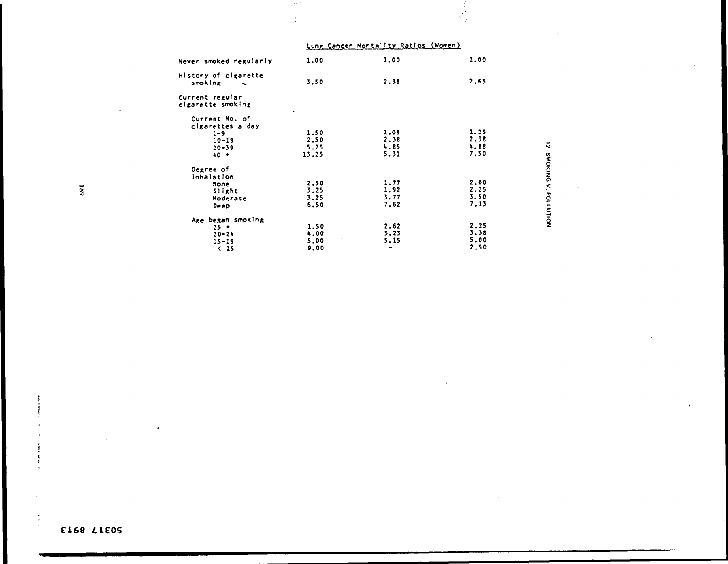|                                                                                   |                               | Lung Cancer Mortality Ratios (Women) |                              |                          |
|-----------------------------------------------------------------------------------|-------------------------------|--------------------------------------|------------------------------|--------------------------|
| Never smoked regularly                                                            | 1.00                          | 1.00                                 | 1.00                         |                          |
| History of cigarette<br>smoking<br>$\sim$                                         | 3.50                          | 2.38                                 | 2.63                         |                          |
| Current regular<br>cigarette smoking                                              | $\mathbf{v}$ .                |                                      |                              |                          |
| Current No. of<br>cigarettes a day<br>$1 - 9$<br>$10 - 19$<br>$20 - 39$<br>$40 +$ | 1.50<br>2.50<br>5.25<br>13.25 | 1.08<br>2.38<br>4.85<br>5.31         | 1.25<br>2.38<br>4.88<br>7.50 |                          |
| Degree of<br>inhalation<br>None<br>Slight<br>Moderate<br>Deep                     | 2.50<br>3.25<br>3.25<br>6.50  | 1.77<br>1.92<br>3.77<br>7.62         | 2.00<br>2.25<br>3.50<br>7.13 | 12. SMOKING V. POLLUTION |
| Age began smoking<br>$25 +$<br>$20 - 24$<br>$15 - 19$<br>$15$                     | 1.50<br>4.00<br>5,00<br>9.00  | 2.62<br>3.23<br>5.15                 | 2.25<br>3.38<br>5.00<br>2,50 |                          |

ءِ<br>-

 $\tilde{\mathbf{z}}$ 

# E l69 L LEOS

 $\ddot{\cdot}$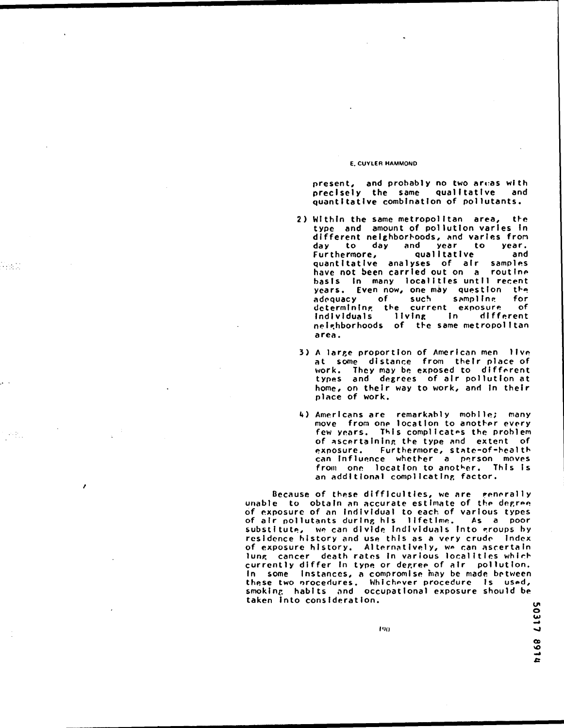# E . CUVLER HAMMOND

present, and probably no two arcas with precisely the same qualitative and quantitative combination of pollutants .

- 2) Within the same metropolitan area, the type and amount of pollution varies In different neighborboods, and varies from<br>day to day and year to year. day to day and year to year.<br>Furthermore, qualltative and Furthermore, qualitative and quantitative analyses of air samples have not been carried out on a routine basis In many localities until recent years, Even-now, one-may question the<br>adequacy of such sampling for adequaey of such sampline for determininy the current exposure of Individuals living in different neighborhoods of the same metropolitan area .
- 3) A large proportion of American men live at some distance from their place of work. They may be exposed to different types and degrees of air pollution at home, on their way to work, and in their place of work.
- 4) Americans are remarkably mobile; many move from one location to another every few years. This complicates the problem of ascertaining the type and extent of exposure. Furthermore, state-of-health can influence whether a person moves from one location to another. This is an additional complicating factor.

Because of these difficulties, we are penerally unable to obtain an accurate estimate of the degree of exposure of an individual to each of various types of air pollutants during his lifetime. As a poor substitute, we can divide individuals into groups by residence history and use this as a very crude index of exposure history. Alternatively, we can ascertain lung cancer death rates in various localities which currently differ in type or degree of air pollution. In some Instances, a compromise hay be made between these two procedures. Whichover procedure Is used, smoking habits and occupational exposure should be taken into consideration.

 $\sim$  . The set of the set of the set of the set of the set of the set of the set of the set of the set of the set of the set of the set of the set of the set of the set of the set of the set of the set of the set of the s

0 w ~ **h** 168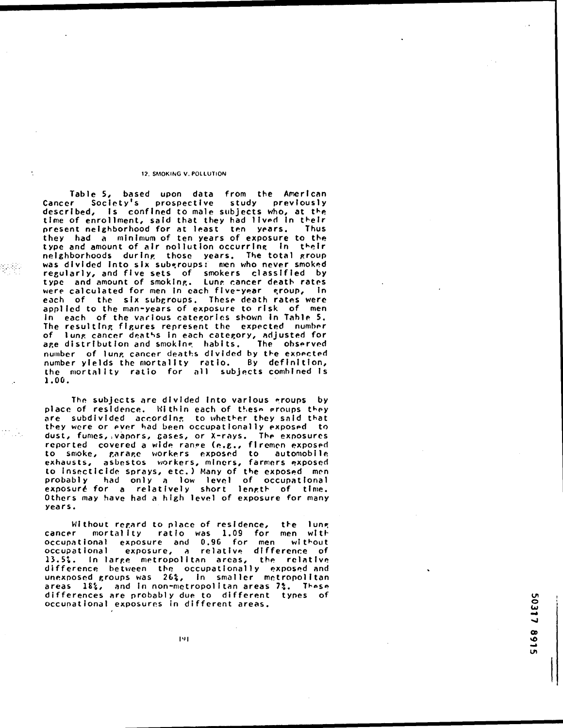Table 5, based upon data from the American Cancer Society's prospective study previously described, is confined to male subjects who, at the time of enrollment, said that they had lived in their present neighborhood for at least ten years. Thus they had a minimum of ten years of exposure to the type and amount of air nollution occurring in their neighborhoods during those years. The total group was divided into six subgroups: men who never smoked regularly, and five sets of smokers classified by type and amount of smoking. Lunr cancer death rates were calculated for men in each five-year group, in each of the six subgroups. These death rates were applied to the man-years of exposure to risk of men in each of the various categories shown in Table 5 . The resulting figures represent the expected number of lung cancer deattis in each category, adjusted for age distribution and smoking habits. The observed number of lung cancer deaths divided by the expected number yields the mortality ratio. By definition, the mortality ratio for all subjects combined is 1 .00 .

2014.

The subjects are divided into various groups by place of residence. Within each of these groups they are subdivided according to whether they said that they were or ever had been occupationally exposed to dust, fumes, :vapors, gases, or X-rays . The exposures reported covered a wide range (e.g., firemen exposed<br>to smoke, garage workers exposed to automobile to smoke, garage workers exposed to exhausts, asbestos workers, miners, farmers exposed to insecticide sprays, etc .) Many of the exposed men probably had only a low level of occupational exposure for a relatively short length of time. Others may have had a high level of exposure for many years .

Without regard to place of residence, the lung cancer mortality ratio was 1.09 for men with occupational exposure and 0 .96 for men wittiout occupational exposure, a relative difference of 13 .5s . In large metropolitan areas, the relative difference between the occupationally exposed and unexposed groups was 2G%, in smaller metropolitan areas  $18\frac{2}{3}$ , and in non-metropolitan areas  $7\frac{2}{3}$ . These differences are probably due to different types of occunational exposures in different areas .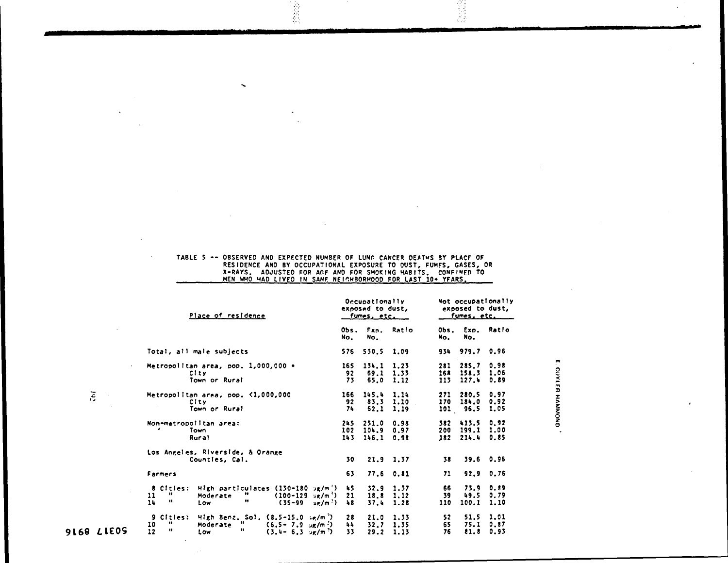| TABLE 5 -- OBSERVED AND EXPECTED NUMBER OF LUNG CANCER DEATHS BY PLACF OF |
|---------------------------------------------------------------------------|
| RESIDENCE AND BY OCCUPATIONAL EXPOSURE TO DUST, FUMES, GASES, OR          |
| X-RAYS. ADJUSTED FOR AGF AND FOR SMOKING HABITS. CONFIMED TO              |
| MEN WHO HAD LIVED IN SAME NEIGHBORHOOD FOR LAST 10+ YEARS.                |

1

|                | Place of residence                                                                                                                                                                        |                   | Occupationally<br>exposed to dust,<br>fumes, etc. |                      | Not occupationally<br>exposed to dust,<br><u>fumes, etc. ___</u> |                         |                      |  |
|----------------|-------------------------------------------------------------------------------------------------------------------------------------------------------------------------------------------|-------------------|---------------------------------------------------|----------------------|------------------------------------------------------------------|-------------------------|----------------------|--|
|                |                                                                                                                                                                                           | Obs.<br>No.       | Exo.<br>No.                                       | Ratio                | Obs.<br>No.                                                      | Exp.<br>No.             | Ratio                |  |
|                | Total, all male subjects                                                                                                                                                                  | 576               | 530.5 1.09                                        |                      | 934                                                              | 979.7                   | 0.96                 |  |
| $\blacksquare$ | Metropolitan area, pop. $1,000,000$ +<br>City<br>Town or Rural                                                                                                                            | 165<br>92<br>73   | 134.1<br>69.1<br>65.0                             | 1.23<br>1.33<br>1.12 | 281<br>168<br>113                                                | 285.7<br>158.3<br>127.4 | 0.98<br>1,06<br>0.89 |  |
| š              | Metropolitan area, pop. <1,000,000<br>City<br>Town or Rural                                                                                                                               | 166<br>92<br>74   | 145.4<br>83.3 1.10<br>62.1                        | 1.14<br>1.19         | 271<br>170<br>101                                                | 280.5<br>184.0<br>96.5  | 0.97<br>0.92<br>1.05 |  |
|                | Non-metropolitan area:<br>Town<br>Rural                                                                                                                                                   | 245<br>102<br>143 | $251.0$ 0.98<br>104.9<br>146.1                    | 0.97<br>0.98         | 382.<br>200<br>182                                               | 413.5<br>199.1<br>214.4 | 0.92<br>1.00<br>0.85 |  |
|                | Los Angeles, Riverside, & Orange<br>Countles, Cal.                                                                                                                                        | 30                | $21.9$ 1.37                                       |                      | 38                                                               | $39.6$ 0.96             |                      |  |
|                | Farmers                                                                                                                                                                                   | 63                | $77.6$ $0.81$                                     |                      | 71                                                               |                         | $92.9$ 0.76          |  |
|                | High particulates (130-180<br>8 Cities:<br>$u$ g/m $\gamma$<br><br>$v_{R}/m^{3}$<br>.,<br>11<br>$(100 - 129)$<br>Moderate<br><br>14<br>88<br>$(35 - 99)$<br>$u_{\mathcal{E}}/m^2$<br>Low  | 45<br>21<br>1.8   | 32.9<br>18.8<br>37.4                              | 1.37<br>1.12<br>1.28 | 66<br>39.<br>110                                                 | 73.9<br>49.5<br>100.1   | 0.89<br>0.79<br>1.10 |  |
| LLEOS          | 9 Cities:<br>$High$ Benz, Sol, $(8.5-15.0 \text{ yr/m}^2)$<br>Ħ<br>11<br>$(6.5 - 7.9 \text{ Hz/m}^2)$<br>10<br>Moderate<br>$\mathbf{H}$<br>n<br>12<br>$(3.4 - 6.3 \text{ kg/m}^3)$<br>Low | 28<br>44<br>33    | 21.0<br>32.7<br>29.2                              | 1.33<br>1.35<br>1.13 | 52<br>65<br>76                                                   | 51.5<br>75.1<br>81.8    | 1.01<br>0.87<br>0.93 |  |

E. CUYLER HAMMOND

9168 LIEOS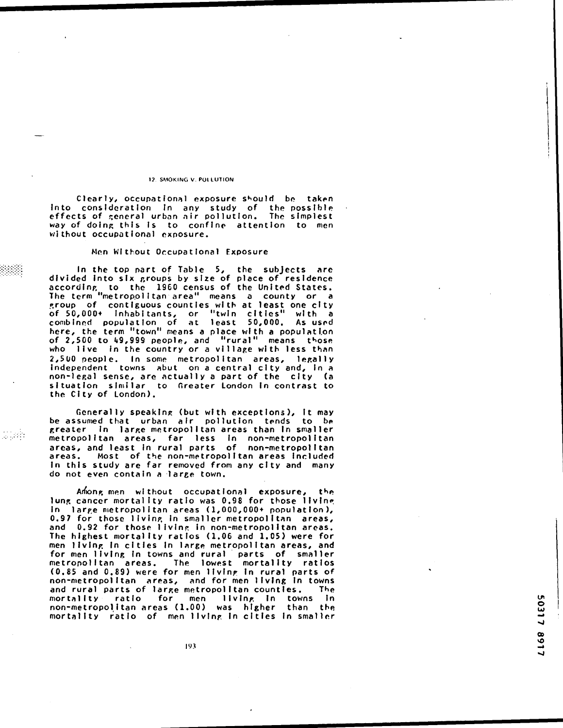Clearly, occupational exposure should be taken into consideration In any study of the possible effects of ceneral urban air pollution. The simplest way of doing this Is to confine attention to men without occupational exposure.

# Men Without Occupational Fxposure

In the top part of Table 5, the subjects are divided into six groups by size of place of residence accordinp, to the 1960 census of the United States . The term "metrop.olitan area" means a county or a group of contiguous counties with at least one city of 50,000+ inhabitants, or "twin cities" with a combined population of at least 50,000 . As used here, the term "town" means a place with a population of 2,500 to 49,999 people, and "rural" means those who live In the country or a village with less than 2,5U0 people . In some metropolitan areas, legally independent towns abut on a central city and, In a non-legal sense, are actually a part of the city (a situation similar to Greater London In contrast to the City of London) .

Generally speaking (but with exceptions), it may be assumed that urban air pollution tends to be greater In large metropolitan areas than in smaller metropolitan areas, far less in non-metropolitan areas, and least In rural parts of non-metropolitan areas. Most of the non-metropolitan areas included in this study are far removed from any city and many do not even contain a large town .

医磷酸

Among men without occupational exposure, the lung cancer mortality ratio was 0.98 for those living in large nietropolitan areas (1,000,000+ population), 0.97 for those living in smaller metropolitan areas, and 0.92 for those living in non-metropolitan areas. The highest mortality ratios (1.06 and 1.05) were for men living In cities In large metropolitan areas, and for men living In towns and rural parts of smaller metropolitan areas . The lowest mortality ratios (0 .85 and 0 .89) were for men living In rural parts of non-metropolitan areas, and for men living in towns<br>and rural parts of large metropolitan counties. The and rural parts of large metropolitan counties. mortality ratio for men living In towns In non-metropolitan areas (1 .00) was higher than the mortality ratio of men llvinp, In cities In smaller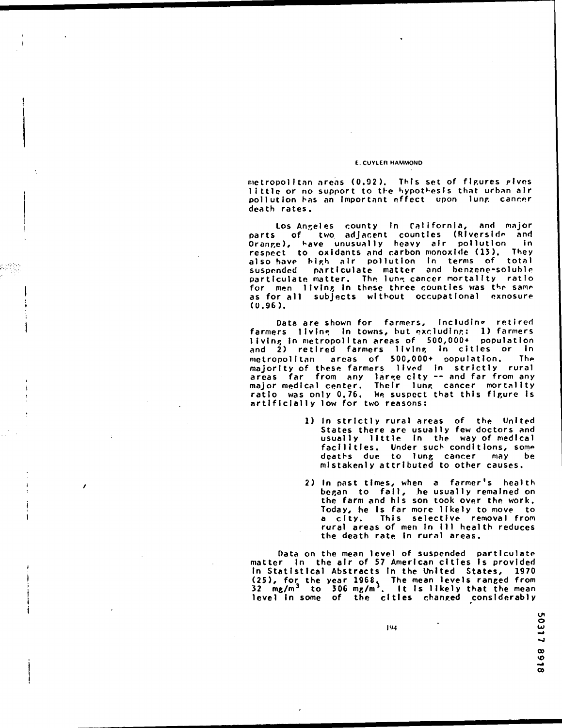### E . CUVLER HAMMOND

metropolitan areas (0 .92) . This set of figures pives little or no support to the hypothesis that urban air pollution has an important effect upon lunr cancer death rates .

Los Angeles county in California, and major<br>parts of two adjacent counties (Riverside and of two adjacent counties (Riverside and Orange), have unusually heavy air pollution In respect to oxidants and carbon monoxide (13). They also have high air pollution In terms of total suspended particulate matter and benzene-soluble particulate matter. The lung cancer mortality ratio for men living In these three counties was the same as for all subjects without occupational exnosure  $(0.96)$ .

Data are shown for farmers, includine retired farmers living in towns, but excluding: 1) farmers<br>living in metropolitan areas of 500,000+ population living in metropolitan areas of  $500,000+$ and 2) retired farmers living In cities or In metropolitan areas of 500,000+ population. The majority of these farmers lived In strictly rural areas far from any large city -- and far from any major medical center . Their lung cancer mortality ratio was only 0.76. We suspect that this figure is artificially low for two reasons :

i

i

1

- 1) In strictly rural areas of the United States there are usually few doctors and usually little In the way of medical facilities. Under such conditions, some deaths due to lung cancer may be mistakenly attributed to other causes .
- 2) In past times, when a farmer's health began to fail, he usually remained on the farm and his son took over the work . Today, he Is far more likely to move to This selective removal from rural areas of men In ill health reduces the death rate In rural areas .

Data on the mean level of suspended particulate matter In the air of 57 American cities is provided In Statistical Abstracts in the United States, 1970 (25), for the year 1968, The mean levels ranged from 32 mg/m3 to 306 mg/m3 . It Is likely that the mean level in some of the cities changed considerably

194

v œ  $\frac{1}{\infty}$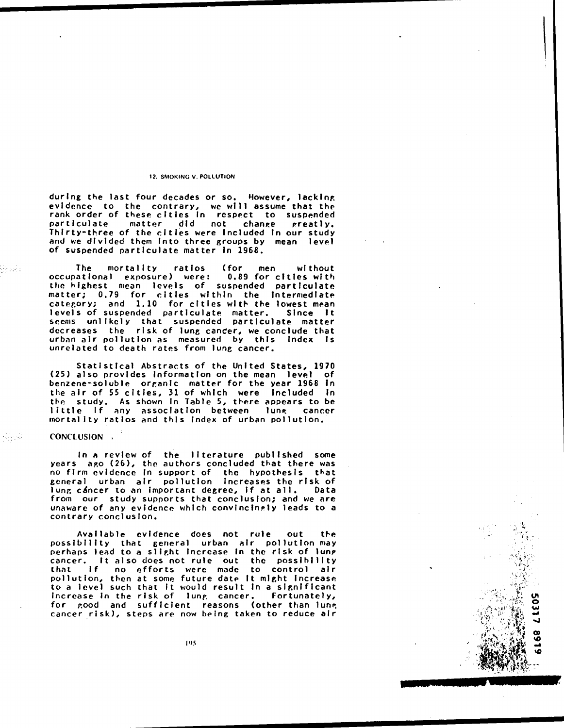during the last four decades or so. However, lacking evidence to the contrary, we will assume that the rank order of these cities in respect to suspended matter did not change greatly. Thirty-three of the cities were Included In our study and we divided them Into three groups by mean level of suspended particulate matter in 1968 .

The mortality ratios (for men without occupational exposure) were : 0.89 for cities with the highest mean levels of suspended particulate matter; 0.79 for cities within the intermediate category; and 1.10 for cities with the lowest mean<br>levels of suspended particulate matter. Since it levels of suspended particulate matter. seems unlikely that suspended particulate matter decreases the risk of lung cancer, we conclude that urban air pollution as measured by this Index Is unrelated to death rates from lung cancer .

Statistical Abstracts of the United States, 1970 (25) also provides information on the mean level of benzene-soluble organic matter for the year 1968 in the air of 55 cities, 31 of which were included in the study. As shown in Table 5, there appears to be little if any association between lung cancer mortality ratios and this index of urban pollution .

### 3. Anii 8.<br>Ani: 7 CONCLUSION :

dinali.

In a review of the literature published some years ago (26), the authors concluded that there was no firm evidence in support of the hypothesis that general urban air pollution increases the risk of lung cancer to an important degree, if at all. Data from our study supports that conclusion; and we are unaware of any evidence which convincinply leads to a contrary conclusion .

Available evidence does not rule out the possibility that general urban air pollution may perhaps lead to a slight increase in the risk of lung cancer, it also does not rule out the possibility that if no efforts were made to control air pollution, then at some future date It might increasre to a level such that it would result In a significant increase in the risk of lung cancer . Fortunately, for good and sufficient reasons (other than lung cancer risk), steps are now being taken to reduce air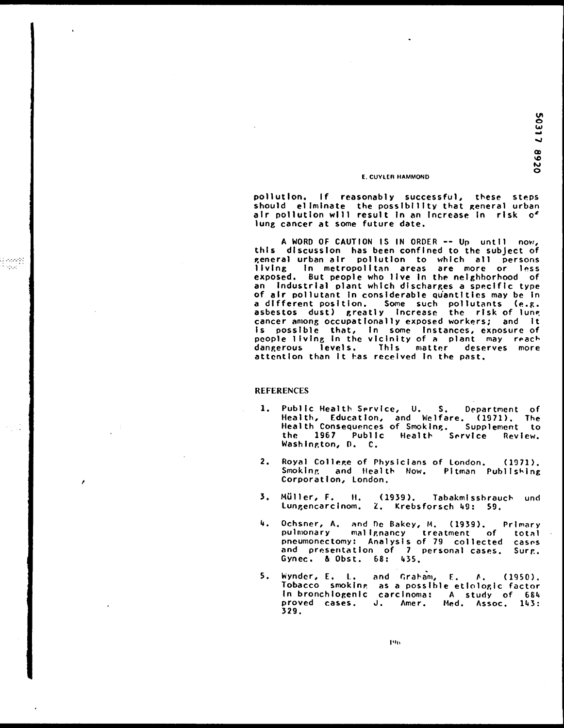# 50317 8920

# <sup>E</sup> .CUYIER HAMMOND

pollution. If reasonably successful, these steps should eliminate the possibility that general urban air pollution will result in an increase in risk of lung cancer at some future date.

A WORD OF CAUTION IS IN ORDER -- Up until now, this discussion has been confined to the subject of general urban air pollution to which all persons living In metropolitan areas are more or less exposed. But people who live in the neighborhood of an industrial plant which discharges a specific type of air pollutant in considerable quantities may be in<br>a different position. Some such pollutants (e.g. Some such pollutants (e.g. asbestos dust) greatly increase the risk of lung cancer among occupationally exposed workers; and it is possible that, In some Instances, exposure of people living in the vicinity of a plant may reach dangerous levels. This matter deserves more attention than it has received in the past.

# REFERENCES

a nanaj<br>Popul

- 1. Public Health Service, U. S. Department of Health, Education, and Welfare. (1971). The Health Consequences of Smoking. Supplement to the 1967 Public Health Service Review. Washington, D. C.
- 2. Royal College of Physicians of London. (1971). Smoking and Health Now. Pitman Publishing Corporation, London.
- 3. Müller, F. H. (1939). Tabakmissbrauch und Lungencarcinom. Z. Krebsforsch 49: 59.
- <sup>4</sup> . Ochsner, A . and De Bakey, M . (1939) . Primary pulmonary mallp,nancy treatment of total pneumonectomy: Analysis of 79 collected cases and presentation of 7 personal cases. Surg. Gynec. & Obst. 68: 435.
- 5. Wynder, E. L. and Graham, E. A. (1950).<br>Tobacco smoking as a possible etiologic factor In bronchlogenic carcinoma: A study of 684 proved cases. J. Amer. Med. Assoc. 143: 329 .

I09,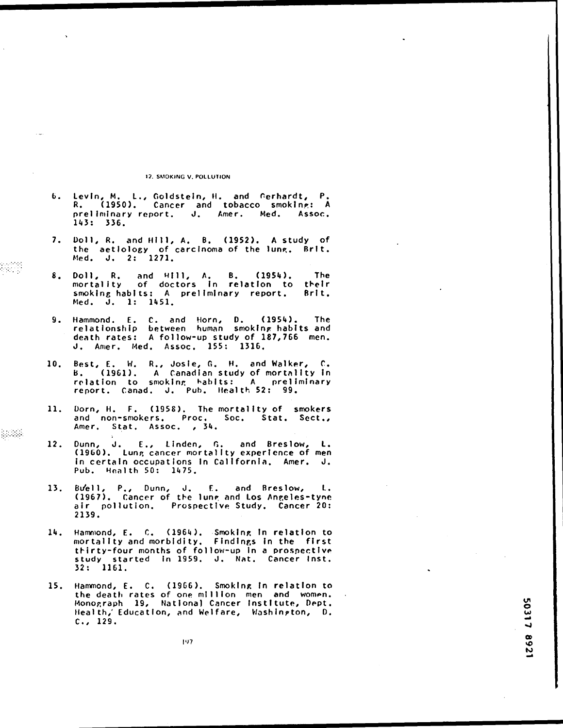- 6. Levin, M. L., Goldstein, H. and Cerhardt, P. R. (1950). Cancer and tobacco smoking: A<br>preliminary report. J. Amer. Med. Assoc. preliminary report. J. Amer. 143: 336.
- 7. Doll, R. and HIll, A. B. (1952). A study of the aetiology of carcinoma of the lung. Brit. Med. J. 2: 1271.

- 8. Doll, R. and Hill, A. B. (1954). The mortality of doctors In relation to thelr smoking habits : A preliminary report . Brit . Med. J. 1: 1451.
- 9. Hammond. E. C. and Horn, D. (1954). The relationship between human smoking habits and death rates: A follow-up study of 187,766 men. J. Amer. Med. Assoc. 155: 1316.
- 10. Best, E. W. R., Josie, G. H. and Walker, C.<br>2006. And Carolina chuir of management in the B. (1961). A Canadian study of mortality in relation to smoking habits: A preliminary report, Canad, J, Pub, Health 52: 99,
- 11. Dorn, H. F. (1958). The mortality of smokers and non-smokers. Proc. Soc. Stat. Sect., Amer. Stat. Assoc. , 34.
- 12. Dunn, J. E., Linden, G. and Breslow, L.<br>(1960). Lung cancer mortality experience of men in certain occupations in California. Amer. J. Pub. Health 50: 1475.
- 13.  $B(-1)$ ,  $P_{1}$ ,  $Dunn$ ,  $J$ .  $E$ . and Breslow,  $L$ . (1967). Cancer of the lung and Los Angeles-tyne air pollution. Prospective Study. Cancer 20: 2139 .
- 14. Hammond, E. C. (1964). Smoking In relation to mortallty and morbidity. Findings in the first thirty-four months of follow-up In a prospective study started in 1959, J. Nat. Cancer Inst.<br>... 32 : 1161 .
- 15. Hammond, E. C. (1966). Smoking in relation to the death rates of one million men and women. Monograph 19, National Cancer Institute, Dept. Health,' Education, and Welfare, Washington, D.  $C., 129.$